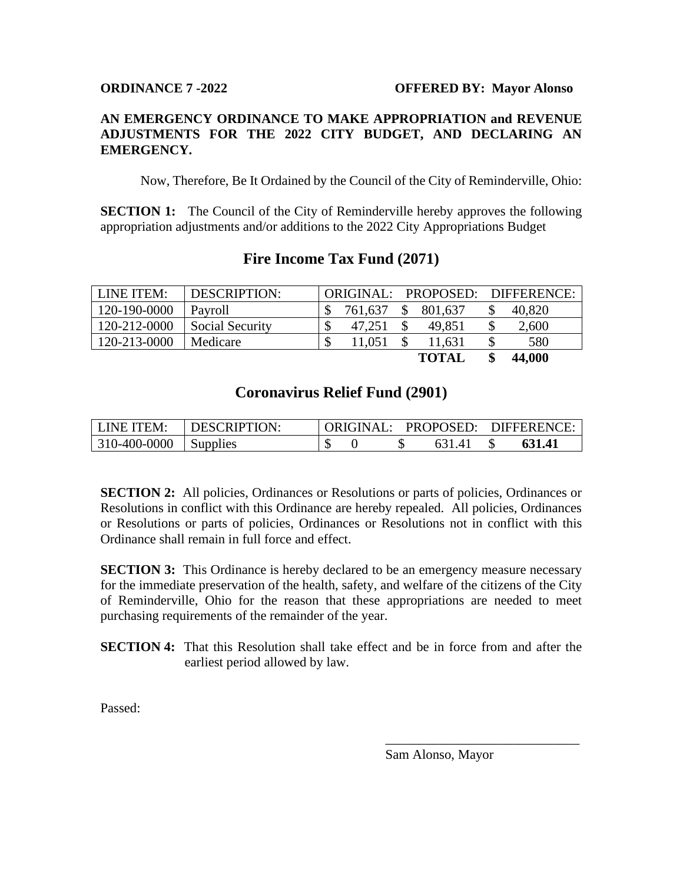## **AN EMERGENCY ORDINANCE TO MAKE APPROPRIATION and REVENUE ADJUSTMENTS FOR THE 2022 CITY BUDGET, AND DECLARING AN EMERGENCY.**

Now, Therefore, Be It Ordained by the Council of the City of Reminderville, Ohio:

**SECTION 1:** The Council of the City of Reminderville hereby approves the following appropriation adjustments and/or additions to the 2022 City Appropriations Budget

| LINE ITEM:   | DESCRIPTION:           | ORIGINAL: |              | PROPOSED: DIFFERENCE: |
|--------------|------------------------|-----------|--------------|-----------------------|
| 120-190-0000 | Payroll                | 761.637   | 801,637      | 40,820                |
| 120-212-0000 | <b>Social Security</b> | 47.251    | 49.851       | 2,600                 |
| 120-213-0000 | Medicare               | 11.051    | 11.631       | 580                   |
|              |                        |           | <b>TOTAI</b> | 44,000                |

## **Fire Income Tax Fund (2071)**

## **Coronavirus Relief Fund (2901)**

| LINE ITEM:              | <b>I DESCRIPTION:</b> |  |  | ORIGINAL: PROPOSED: DIFFERENCE: |
|-------------------------|-----------------------|--|--|---------------------------------|
| $310-400-0000$ Supplies |                       |  |  | 631.41                          |

**SECTION 2:** All policies, Ordinances or Resolutions or parts of policies, Ordinances or Resolutions in conflict with this Ordinance are hereby repealed. All policies, Ordinances or Resolutions or parts of policies, Ordinances or Resolutions not in conflict with this Ordinance shall remain in full force and effect.

**SECTION 3:** This Ordinance is hereby declared to be an emergency measure necessary for the immediate preservation of the health, safety, and welfare of the citizens of the City of Reminderville, Ohio for the reason that these appropriations are needed to meet purchasing requirements of the remainder of the year.

**SECTION 4:** That this Resolution shall take effect and be in force from and after the earliest period allowed by law.

Passed:

Sam Alonso, Mayor

\_\_\_\_\_\_\_\_\_\_\_\_\_\_\_\_\_\_\_\_\_\_\_\_\_\_\_\_\_